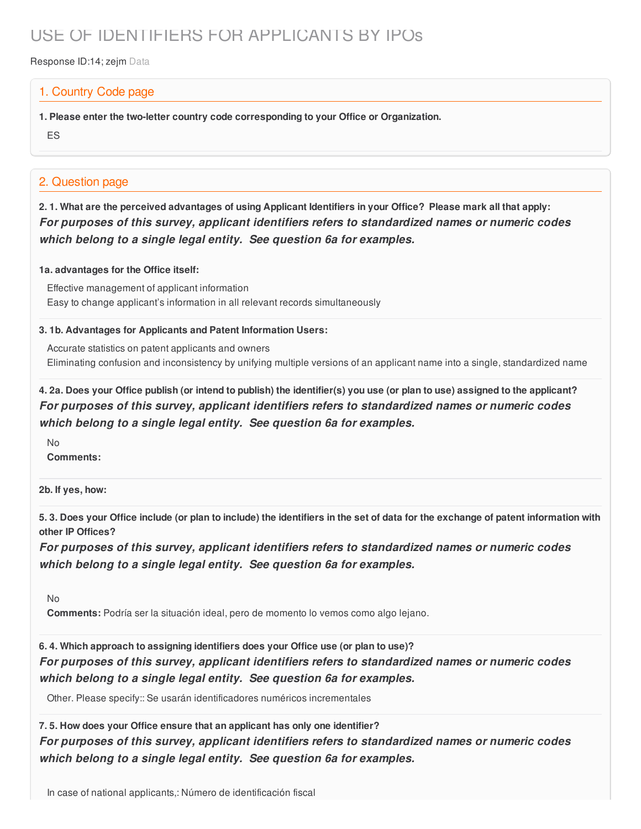# USE OF IDENTIFIERS FOR APPLICANTS BY IPOs

Response ID:14; zejm Data

### 1. Country Code page

**1. Please enter the two-letter country code corresponding to your Office or Organization.**

ES

## 2. Question page

2.1. What are the perceived advantages of using Applicant Identifiers in your Office? Please mark all that apply: *For purposes of this survey, applicant identifiers refers to standardized names or numeric codes which belong to a single legal entity. See question 6a for examples.*

#### **1a. advantages for the Office itself:**

Effective management of applicant information Easy to change applicant's information in all relevant records simultaneously

#### **3. 1b. Advantages for Applicants and Patent Information Users:**

Accurate statistics on patent applicants and owners Eliminating confusion and inconsistency by unifying multiple versions of an applicant name into a single, standardized name

4. 2a. Does your Office publish (or intend to publish) the identifier(s) you use (or plan to use) assigned to the applicant? *For purposes of this survey, applicant identifiers refers to standardized names or numeric codes which belong to a single legal entity. See question 6a for examples.*

 $N<sub>0</sub>$ 

**Comments:**

**2b. If yes, how:**

5.3. Does your Office include (or plan to include) the identifiers in the set of data for the exchange of patent information with **other IP Offices?**

*For purposes of this survey, applicant identifiers refers to standardized names or numeric codes which belong to a single legal entity. See question 6a for examples.*

No

**Comments:** Podría ser la situación ideal, pero de momento lo vemos como algo lejano.

**6. 4. Which approach to assigning identifiers does your Office use (or plan to use)?** *For purposes of this survey, applicant identifiers refers to standardized names or numeric codes which belong to a single legal entity. See question 6a for examples.*

Other. Please specify:: Se usarán identificadores numéricos incrementales

**7. 5. How does your Office ensure that an applicant has only one identifier?** *For purposes of this survey, applicant identifiers refers to standardized names or numeric codes which belong to a single legal entity. See question 6a for examples.*

In case of national applicants,: Número de identificación fiscal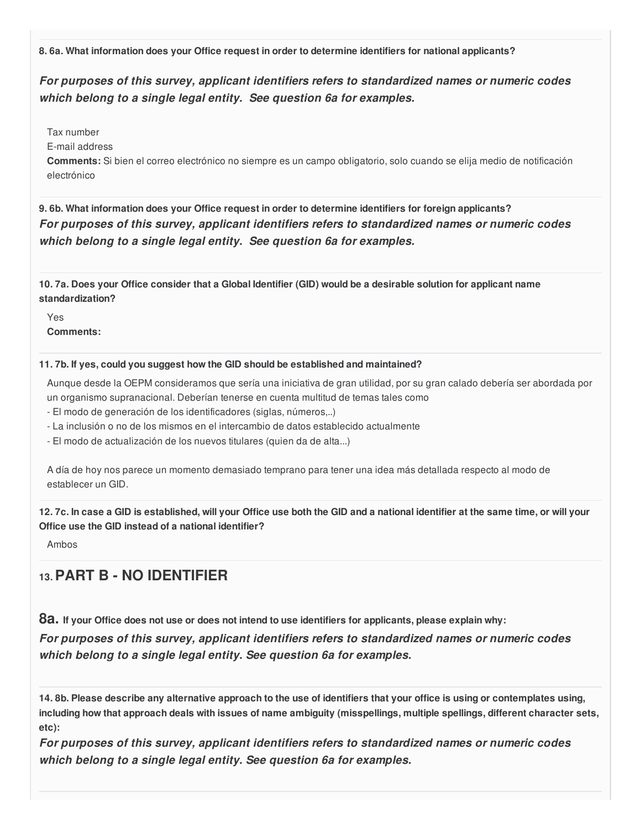**8. 6a. What information does your Office request in order to determine identifiers for national applicants?**

*For purposes of this survey, applicant identifiers refers to standardized names or numeric codes which belong to a single legal entity. See question 6a for examples.*

Tax number

E-mail address

**Comments:** Si bien el correo electrónico no siempre es un campo obligatorio, solo cuando se elija medio de notificación electrónico

**9. 6b. What information does your Office request in order to determine identifiers for foreign applicants?** *For purposes of this survey, applicant identifiers refers to standardized names or numeric codes which belong to a single legal entity. See question 6a for examples.*

10.7a. Does your Office consider that a Global Identifier (GID) would be a desirable solution for applicant name **standardization?**

Yes **Comments:**

#### **11. 7b. If yes, could you suggest how the GID should be established and maintained?**

Aunque desde la OEPM consideramos que sería una iniciativa de gran utilidad, por su gran calado debería ser abordada por un organismo supranacional. Deberían tenerse en cuenta multitud de temas tales como

- El modo de generación de los identificadores (siglas, números,..)
- La inclusión o no de los mismos en el intercambio de datos establecido actualmente
- El modo de actualización de los nuevos titulares (quien da de alta...)

A día de hoy nos parece un momento demasiado temprano para tener una idea más detallada respecto al modo de establecer un GID.

12.7c. In case a GID is established, will your Office use both the GID and a national identifier at the same time, or will your **Office use the GID instead of a national identifier?**

Ambos

# **13.PART B - NO IDENTIFIER**

8a. If your Office does not use or does not intend to use identifiers for applicants, please explain why: *For purposes of this survey, applicant identifiers refers to standardized names or numeric codes which belong to a single legal entity. See question 6a for examples.*

14.8b. Please describe any alternative approach to the use of identifiers that your office is using or contemplates using, including how that approach deals with issues of name ambiguity (misspellings, multiple spellings, different character sets, **etc):**

*For purposes of this survey, applicant identifiers refers to standardized names or numeric codes which belong to a single legal entity. See question 6a for examples.*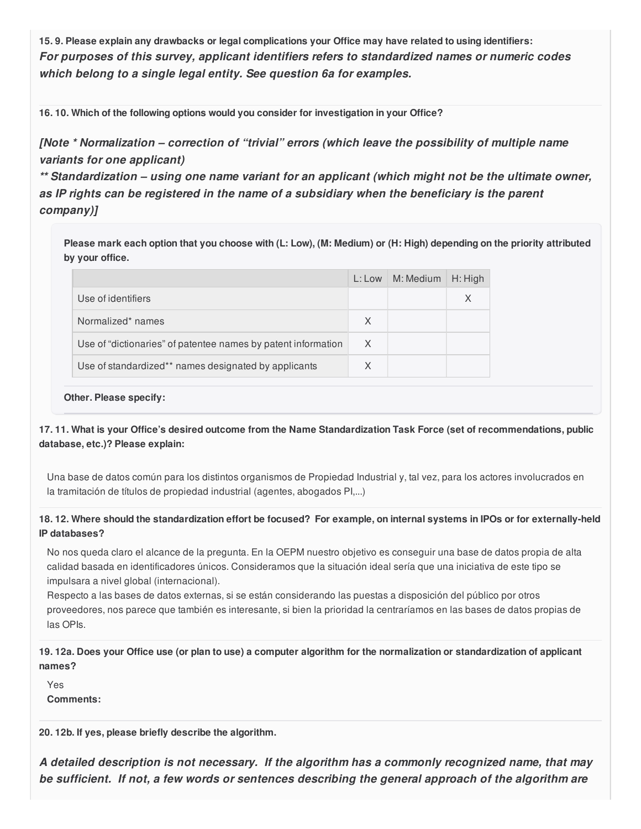15.9. Please explain any drawbacks or legal complications your Office may have related to using identifiers: *For purposes of this survey, applicant identifiers refers to standardized names or numeric codes which belong to a single legal entity. See question 6a for examples.*

**16. 10. Which of the following options would you consider for investigation in your Office?**

*[Note \* Normalization – correction of "trivial" errors (which leave the possibility of multiple name variants for one applicant)*

*\*\* Standardization – using one name variant for an applicant (which might not be the ultimate owner, as IP rights can be registered in the name of a subsidiary when the beneficiary is the parent company)]*

Please mark each option that you choose with (L: Low), (M: Medium) or (H: High) depending on the priority attributed **by your office.**

|                                                               | L: Low   | M: Medium | H: High |
|---------------------------------------------------------------|----------|-----------|---------|
| Use of identifiers                                            |          |           | X       |
| Normalized* names                                             | $\times$ |           |         |
| Use of "dictionaries" of patentee names by patent information | $\times$ |           |         |
| Use of standardized** names designated by applicants          | X        |           |         |

#### **Other. Please specify:**

17.11. What is your Office's desired outcome from the Name Standardization Task Force (set of recommendations, public **database, etc.)? Please explain:**

Una base de datos común para los distintos organismos de Propiedad Industrial y, tal vez, para los actores involucrados en la tramitación de títulos de propiedad industrial (agentes, abogados PI,...)

#### 18.12. Where should the standardization effort be focused? For example, on internal systems in IPOs or for externally-held **IP databases?**

No nos queda claro el alcance de la pregunta. En la OEPM nuestro objetivo es conseguir una base de datos propia de alta calidad basada en identificadores únicos. Consideramos que la situación ideal sería que una iniciativa de este tipo se impulsara a nivel global (internacional).

Respecto a las bases de datos externas, si se están considerando las puestas a disposición del público por otros proveedores, nos parece que también es interesante, si bien la prioridad la centraríamos en las bases de datos propias de las OPIs.

19.12a. Does your Office use (or plan to use) a computer algorithm for the normalization or standardization of applicant **names?**

Yes

**Comments:**

**20. 12b. If yes, please briefly describe the algorithm.**

*A detailed description is not necessary. If the algorithm has a commonly recognized name, that may be sufficient. If not, a few words or sentences describing the general approach of the algorithm are*